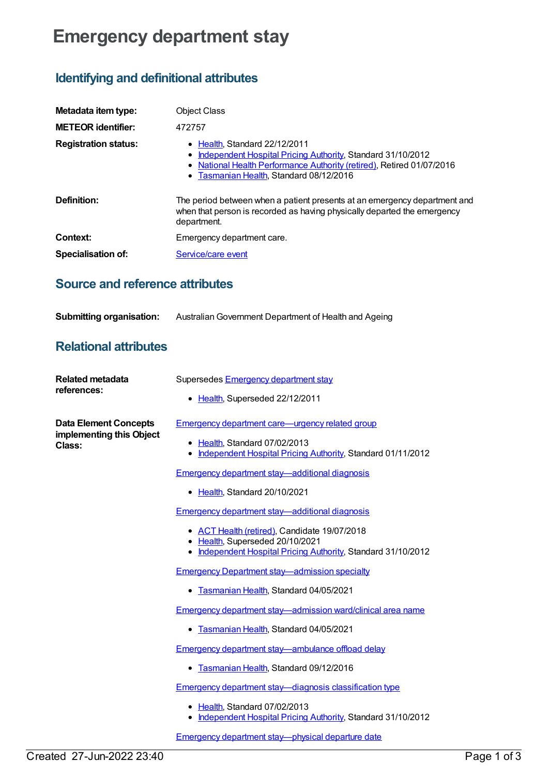# **Emergency department stay**

## **Identifying and definitional attributes**

| Metadata item type:         | <b>Object Class</b>                                                                                                                                                                                                      |
|-----------------------------|--------------------------------------------------------------------------------------------------------------------------------------------------------------------------------------------------------------------------|
| <b>METEOR identifier:</b>   | 472757                                                                                                                                                                                                                   |
| <b>Registration status:</b> | $\bullet$ Health, Standard 22/12/2011<br>Independent Hospital Pricing Authority, Standard 31/10/2012<br>• National Health Performance Authority (retired), Retired 01/07/2016<br>• Tasmanian Health, Standard 08/12/2016 |
| Definition:                 | The period between when a patient presents at an emergency department and<br>when that person is recorded as having physically departed the emergency<br>department.                                                     |
| Context:                    | Emergency department care.                                                                                                                                                                                               |
| <b>Specialisation of:</b>   | Service/care event                                                                                                                                                                                                       |

### **Source and reference attributes**

| <b>Submitting organisation:</b> | Australian Government Department of Health and Ageing |
|---------------------------------|-------------------------------------------------------|
|---------------------------------|-------------------------------------------------------|

### **Relational attributes**

| <b>Related metadata</b><br>references:                             | Supersedes Emergency department stay                                                                                                             |
|--------------------------------------------------------------------|--------------------------------------------------------------------------------------------------------------------------------------------------|
|                                                                    | • Health, Superseded 22/12/2011                                                                                                                  |
| <b>Data Element Concepts</b><br>implementing this Object<br>Class: | <b>Emergency department care—urgency related group</b>                                                                                           |
|                                                                    | • Health, Standard 07/02/2013<br>• Independent Hospital Pricing Authority, Standard 01/11/2012                                                   |
|                                                                    | <b>Emergency department stay—additional diagnosis</b>                                                                                            |
|                                                                    | • Health, Standard 20/10/2021                                                                                                                    |
|                                                                    | <b>Emergency department stay—additional diagnosis</b>                                                                                            |
|                                                                    | • ACT Health (retired), Candidate 19/07/2018<br>• Health, Superseded 20/10/2021<br>• Independent Hospital Pricing Authority, Standard 31/10/2012 |
|                                                                    | <b>Emergency Department stay—admission specialty</b>                                                                                             |
|                                                                    | Tasmanian Health, Standard 04/05/2021<br>٠                                                                                                       |
|                                                                    | Emergency department stay-admission ward/clinical area name                                                                                      |
|                                                                    | Tasmanian Health, Standard 04/05/2021<br>٠                                                                                                       |
|                                                                    | Emergency department stay-ambulance offload delay                                                                                                |
|                                                                    | Tasmanian Health, Standard 09/12/2016                                                                                                            |
|                                                                    | <b>Emergency department stay-diagnosis classification type</b>                                                                                   |
|                                                                    | • Health, Standard 07/02/2013<br>• Independent Hospital Pricing Authority, Standard 31/10/2012                                                   |
|                                                                    | Emergency department stay-physical departure date                                                                                                |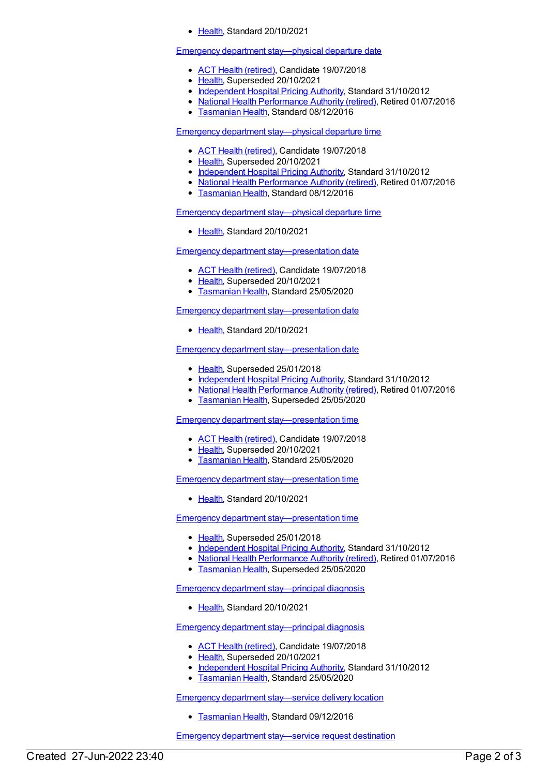[Health](https://meteor.aihw.gov.au/RegistrationAuthority/12), Standard 20/10/2021

#### Emergency department [stay—physical](https://meteor.aihw.gov.au/content/472973) departure date

- ACT Health [\(retired\)](https://meteor.aihw.gov.au/RegistrationAuthority/9), Candidate 19/07/2018
- [Health](https://meteor.aihw.gov.au/RegistrationAuthority/12), Superseded 20/10/2021
- [Independent](https://meteor.aihw.gov.au/RegistrationAuthority/3) Hospital Pricing Authority, Standard 31/10/2012
- National Health [Performance](https://meteor.aihw.gov.au/RegistrationAuthority/8) Authority (retired), Retired 01/07/2016
- **[Tasmanian](https://meteor.aihw.gov.au/RegistrationAuthority/15) Health, Standard 08/12/2016**

Emergency department [stay—physical](https://meteor.aihw.gov.au/content/472977) departure time

- ACT Health [\(retired\)](https://meteor.aihw.gov.au/RegistrationAuthority/9), Candidate 19/07/2018
- [Health](https://meteor.aihw.gov.au/RegistrationAuthority/12), Superseded 20/10/2021
- [Independent](https://meteor.aihw.gov.au/RegistrationAuthority/3) Hospital Pricing Authority, Standard 31/10/2012
- National Health [Performance](https://meteor.aihw.gov.au/RegistrationAuthority/8) Authority (retired), Retired 01/07/2016
- **[Tasmanian](https://meteor.aihw.gov.au/RegistrationAuthority/15) Health, Standard 08/12/2016**

Emergency department [stay—physical](https://meteor.aihw.gov.au/content/746081) departure time

• [Health](https://meteor.aihw.gov.au/RegistrationAuthority/12), Standard 20/10/2021

Emergency department [stay—presentation](https://meteor.aihw.gov.au/content/684846) date

- ACT Health [\(retired\)](https://meteor.aihw.gov.au/RegistrationAuthority/9), Candidate 19/07/2018
- [Health](https://meteor.aihw.gov.au/RegistrationAuthority/12), Superseded 20/10/2021
- **[Tasmanian](https://meteor.aihw.gov.au/RegistrationAuthority/15) Health, Standard 25/05/2020**

Emergency department [stay—presentation](https://meteor.aihw.gov.au/content/746091) date

[Health](https://meteor.aihw.gov.au/RegistrationAuthority/12), Standard 20/10/2021

Emergency department [stay—presentation](https://meteor.aihw.gov.au/content/472764) date

- [Health](https://meteor.aihw.gov.au/RegistrationAuthority/12), Superseded 25/01/2018
- [Independent](https://meteor.aihw.gov.au/RegistrationAuthority/3) Hospital Pricing Authority, Standard 31/10/2012
- National Health [Performance](https://meteor.aihw.gov.au/RegistrationAuthority/8) Authority (retired), Retired 01/07/2016
- [Tasmanian](https://meteor.aihw.gov.au/RegistrationAuthority/15) Health, Superseded 25/05/2020

Emergency department [stay—presentation](https://meteor.aihw.gov.au/content/684854) time

- ACT Health [\(retired\)](https://meteor.aihw.gov.au/RegistrationAuthority/9), Candidate 19/07/2018
- [Health](https://meteor.aihw.gov.au/RegistrationAuthority/12), Superseded 20/10/2021
- [Tasmanian](https://meteor.aihw.gov.au/RegistrationAuthority/15) Health, Standard 25/05/2020

Emergency department [stay—presentation](https://meteor.aihw.gov.au/content/746096) time

• [Health](https://meteor.aihw.gov.au/RegistrationAuthority/12), Standard 20/10/2021

Emergency department [stay—presentation](https://meteor.aihw.gov.au/content/472772) time

- [Health](https://meteor.aihw.gov.au/RegistrationAuthority/12), Superseded 25/01/2018
- [Independent](https://meteor.aihw.gov.au/RegistrationAuthority/3) Hospital Pricing Authority, Standard 31/10/2012
- National Health [Performance](https://meteor.aihw.gov.au/RegistrationAuthority/8) Authority (retired), Retired 01/07/2016
- **[Tasmanian](https://meteor.aihw.gov.au/RegistrationAuthority/15) Health, Superseded 25/05/2020**

Emergency department [stay—principal](https://meteor.aihw.gov.au/content/746102) diagnosis

[Health](https://meteor.aihw.gov.au/RegistrationAuthority/12), Standard 20/10/2021

Emergency department [stay—principal](https://meteor.aihw.gov.au/content/447026) diagnosis

- ACT Health [\(retired\)](https://meteor.aihw.gov.au/RegistrationAuthority/9), Candidate 19/07/2018
- [Health](https://meteor.aihw.gov.au/RegistrationAuthority/12), Superseded 20/10/2021
- [Independent](https://meteor.aihw.gov.au/RegistrationAuthority/3) Hospital Pricing Authority, Standard 31/10/2012
- **[Tasmanian](https://meteor.aihw.gov.au/RegistrationAuthority/15) Health, Standard 25/05/2020**

Emergency department [stay—service](https://meteor.aihw.gov.au/content/443670) delivery location

**[Tasmanian](https://meteor.aihw.gov.au/RegistrationAuthority/15) Health, Standard 09/12/2016** 

Emergency department [stay—service](https://meteor.aihw.gov.au/content/743512) request destination